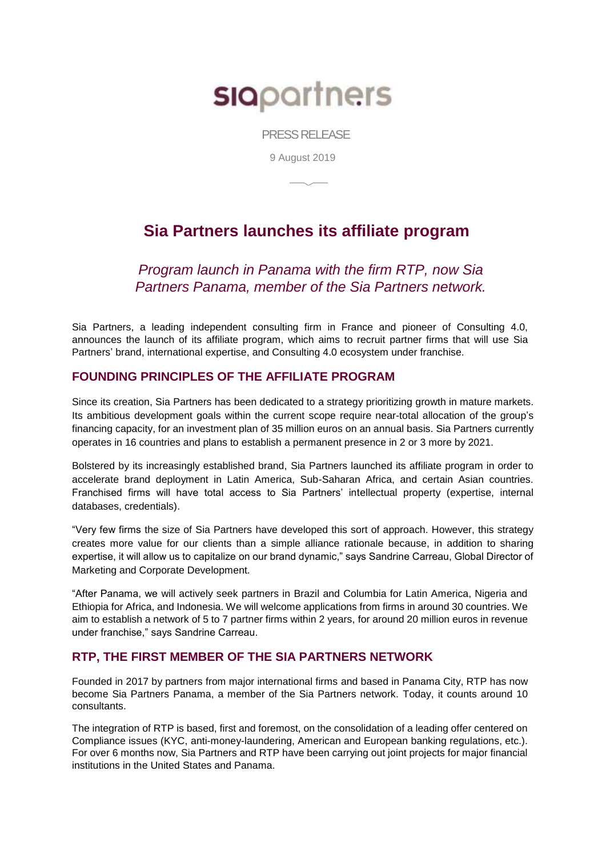# **SIQ**partners

PRESS RELEASE

9 August 2019

# **Sia Partners launches its affiliate program**

*Program launch in Panama with the firm RTP, now Sia Partners Panama, member of the Sia Partners network.*

Sia Partners, a leading independent consulting firm in France and pioneer of Consulting 4.0, announces the launch of its affiliate program, which aims to recruit partner firms that will use Sia Partners' brand, international expertise, and Consulting 4.0 ecosystem under franchise.

# **FOUNDING PRINCIPLES OF THE AFFILIATE PROGRAM**

Since its creation, Sia Partners has been dedicated to a strategy prioritizing growth in mature markets. Its ambitious development goals within the current scope require near-total allocation of the group's financing capacity, for an investment plan of 35 million euros on an annual basis. Sia Partners currently operates in 16 countries and plans to establish a permanent presence in 2 or 3 more by 2021.

Bolstered by its increasingly established brand, Sia Partners launched its affiliate program in order to accelerate brand deployment in Latin America, Sub-Saharan Africa, and certain Asian countries. Franchised firms will have total access to Sia Partners' intellectual property (expertise, internal databases, credentials).

"Very few firms the size of Sia Partners have developed this sort of approach. However, this strategy creates more value for our clients than a simple alliance rationale because, in addition to sharing expertise, it will allow us to capitalize on our brand dynamic," says Sandrine Carreau, Global Director of Marketing and Corporate Development.

"After Panama, we will actively seek partners in Brazil and Columbia for Latin America, Nigeria and Ethiopia for Africa, and Indonesia. We will welcome applications from firms in around 30 countries. We aim to establish a network of 5 to 7 partner firms within 2 years, for around 20 million euros in revenue under franchise," says Sandrine Carreau.

# **RTP, THE FIRST MEMBER OF THE SIA PARTNERS NETWORK**

Founded in 2017 by partners from major international firms and based in Panama City, RTP has now become Sia Partners Panama, a member of the Sia Partners network. Today, it counts around 10 consultants.

The integration of RTP is based, first and foremost, on the consolidation of a leading offer centered on Compliance issues (KYC, anti-money-laundering, American and European banking regulations, etc.). For over 6 months now, Sia Partners and RTP have been carrying out joint projects for major financial institutions in the United States and Panama.